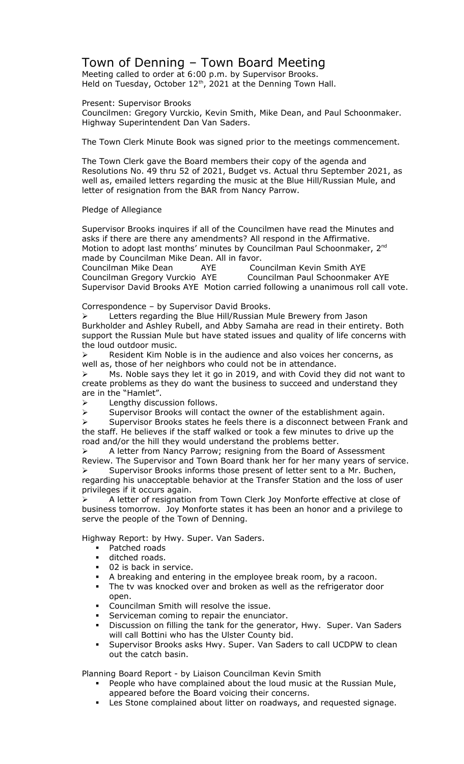## Town of Denning – Town Board Meeting

Meeting called to order at 6:00 p.m. by Supervisor Brooks. Held on Tuesday, October  $12<sup>th</sup>$ , 2021 at the Denning Town Hall.

Present: Supervisor Brooks

Councilmen: Gregory Vurckio, Kevin Smith, Mike Dean, and Paul Schoonmaker. Highway Superintendent Dan Van Saders.

The Town Clerk Minute Book was signed prior to the meetings commencement.

The Town Clerk gave the Board members their copy of the agenda and Resolutions No. 49 thru 52 of 2021, Budget vs. Actual thru September 2021, as well as, emailed letters regarding the music at the Blue Hill/Russian Mule, and letter of resignation from the BAR from Nancy Parrow.

## Pledge of Allegiance

Supervisor Brooks inquires if all of the Councilmen have read the Minutes and asks if there are there any amendments? All respond in the Affirmative. Motion to adopt last months' minutes by Councilman Paul Schoonmaker, 2<sup>nd</sup> made by Councilman Mike Dean. All in favor.

Councilman Mike Dean AYE Councilman Kevin Smith AYE Councilman Gregory Vurckio AYE Councilman Paul Schoonmaker AYE Supervisor David Brooks AYE Motion carried following a unanimous roll call vote.

Correspondence – by Supervisor David Brooks.

 Letters regarding the Blue Hill/Russian Mule Brewery from Jason Burkholder and Ashley Rubell, and Abby Samaha are read in their entirety. Both support the Russian Mule but have stated issues and quality of life concerns with the loud outdoor music.

 Resident Kim Noble is in the audience and also voices her concerns, as well as, those of her neighbors who could not be in attendance.

 $\triangleright$  Ms. Noble says they let it go in 2019, and with Covid they did not want to create problems as they do want the business to succeed and understand they are in the "Hamlet".

 $\triangleright$  Lengthy discussion follows.

 $\triangleright$  Supervisor Brooks will contact the owner of the establishment again.

 $\triangleright$  Supervisor Brooks states he feels there is a disconnect between Frank and the staff. He believes if the staff walked or took a few minutes to drive up the road and/or the hill they would understand the problems better.

 $\triangleright$  A letter from Nancy Parrow; resigning from the Board of Assessment Review. The Supervisor and Town Board thank her for her many years of service. Supervisor Brooks informs those present of letter sent to a Mr. Buchen,

regarding his unacceptable behavior at the Transfer Station and the loss of user privileges if it occurs again.

 A letter of resignation from Town Clerk Joy Monforte effective at close of business tomorrow. Joy Monforte states it has been an honor and a privilege to serve the people of the Town of Denning.

Highway Report: by Hwy. Super. Van Saders.

- **Patched roads**
- ditched roads.
- **02** is back in service.
- A breaking and entering in the employee break room, by a racoon.
- The tv was knocked over and broken as well as the refrigerator door open.
- Councilman Smith will resolve the issue.
- Serviceman coming to repair the enunciator.
- Discussion on filling the tank for the generator, Hwy. Super. Van Saders will call Bottini who has the Ulster County bid.
- Supervisor Brooks asks Hwy. Super. Van Saders to call UCDPW to clean out the catch basin.

Planning Board Report - by Liaison Councilman Kevin Smith

- People who have complained about the loud music at the Russian Mule, appeared before the Board voicing their concerns.
- Les Stone complained about litter on roadways, and requested signage.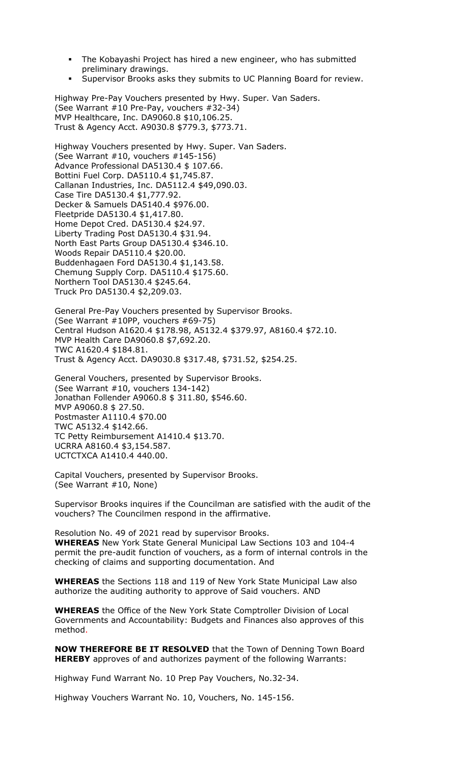- The Kobayashi Project has hired a new engineer, who has submitted preliminary drawings.
- Supervisor Brooks asks they submits to UC Planning Board for review.

Highway Pre-Pay Vouchers presented by Hwy. Super. Van Saders. (See Warrant #10 Pre-Pay, vouchers #32-34) MVP Healthcare, Inc. DA9060.8 \$10,106.25. Trust & Agency Acct. A9030.8 \$779.3, \$773.71.

Highway Vouchers presented by Hwy. Super. Van Saders. (See Warrant #10, vouchers #145-156) Advance Professional DA5130.4 \$ 107.66. Bottini Fuel Corp. DA5110.4 \$1,745.87. Callanan Industries, Inc. DA5112.4 \$49,090.03. Case Tire DA5130.4 \$1,777.92. Decker & Samuels DA5140.4 \$976.00. Fleetpride DA5130.4 \$1,417.80. Home Depot Cred. DA5130.4 \$24.97. Liberty Trading Post DA5130.4 \$31.94. North East Parts Group DA5130.4 \$346.10. Woods Repair DA5110.4 \$20.00. Buddenhagaen Ford DA5130.4 \$1,143.58. Chemung Supply Corp. DA5110.4 \$175.60. Northern Tool DA5130.4 \$245.64. Truck Pro DA5130.4 \$2,209.03.

General Pre-Pay Vouchers presented by Supervisor Brooks. (See Warrant #10PP, vouchers #69-75) Central Hudson A1620.4 \$178.98, A5132.4 \$379.97, A8160.4 \$72.10. MVP Health Care DA9060.8 \$7,692.20. TWC A1620.4 \$184.81. Trust & Agency Acct. DA9030.8 \$317.48, \$731.52, \$254.25.

General Vouchers, presented by Supervisor Brooks. (See Warrant #10, vouchers 134-142) Jonathan Follender A9060.8 \$ 311.80, \$546.60. MVP A9060.8 \$ 27.50. Postmaster A1110.4 \$70.00 TWC A5132.4 \$142.66. TC Petty Reimbursement A1410.4 \$13.70. UCRRA A8160.4 \$3,154.587. UCTCTXCA A1410.4 440.00.

Capital Vouchers, presented by Supervisor Brooks. (See Warrant #10, None)

Supervisor Brooks inquires if the Councilman are satisfied with the audit of the vouchers? The Councilmen respond in the affirmative.

Resolution No. 49 of 2021 read by supervisor Brooks. **WHEREAS** New York State General Municipal Law Sections 103 and 104-4 permit the pre-audit function of vouchers, as a form of internal controls in the checking of claims and supporting documentation. And

**WHEREAS** the Sections 118 and 119 of New York State Municipal Law also authorize the auditing authority to approve of Said vouchers. AND

**WHEREAS** the Office of the New York State Comptroller Division of Local Governments and Accountability: Budgets and Finances also approves of this method.

**NOW THEREFORE BE IT RESOLVED** that the Town of Denning Town Board **HEREBY** approves of and authorizes payment of the following Warrants:

Highway Fund Warrant No. 10 Prep Pay Vouchers, No.32-34.

Highway Vouchers Warrant No. 10, Vouchers, No. 145-156.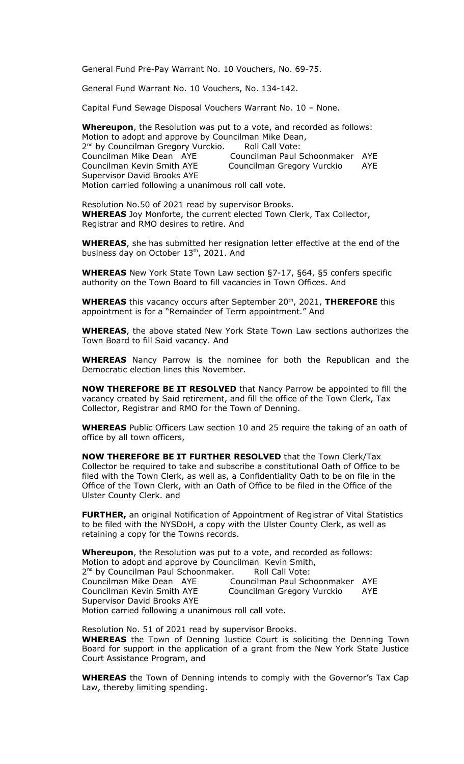General Fund Pre-Pay Warrant No. 10 Vouchers, No. 69-75.

General Fund Warrant No. 10 Vouchers, No. 134-142.

Capital Fund Sewage Disposal Vouchers Warrant No. 10 – None.

**Whereupon**, the Resolution was put to a vote, and recorded as follows: Motion to adopt and approve by Councilman Mike Dean, 2<sup>nd</sup> by Councilman Gregory Vurckio. Roll Call Vote: Councilman Mike Dean AYE Councilman Paul Schoonmaker AYE Councilman Kevin Smith AYE Councilman Gregory Vurckio AYE Supervisor David Brooks AYE Motion carried following a unanimous roll call vote.

Resolution No.50 of 2021 read by supervisor Brooks. **WHEREAS** Joy Monforte, the current elected Town Clerk, Tax Collector, Registrar and RMO desires to retire. And

**WHEREAS**, she has submitted her resignation letter effective at the end of the business day on October 13<sup>th</sup>, 2021. And

**WHEREAS** New York State Town Law section §7-17, §64, §5 confers specific authority on the Town Board to fill vacancies in Town Offices. And

**WHEREAS** this vacancy occurs after September 20<sup>th</sup>, 2021, **THEREFORE** this appointment is for a "Remainder of Term appointment." And

**WHEREAS**, the above stated New York State Town Law sections authorizes the Town Board to fill Said vacancy. And

**WHEREAS** Nancy Parrow is the nominee for both the Republican and the Democratic election lines this November.

**NOW THEREFORE BE IT RESOLVED** that Nancy Parrow be appointed to fill the vacancy created by Said retirement, and fill the office of the Town Clerk, Tax Collector, Registrar and RMO for the Town of Denning.

**WHEREAS** Public Officers Law section 10 and 25 require the taking of an oath of office by all town officers,

**NOW THEREFORE BE IT FURTHER RESOLVED** that the Town Clerk/Tax Collector be required to take and subscribe a constitutional Oath of Office to be filed with the Town Clerk, as well as, a Confidentiality Oath to be on file in the Office of the Town Clerk, with an Oath of Office to be filed in the Office of the Ulster County Clerk. and

**FURTHER,** an original Notification of Appointment of Registrar of Vital Statistics to be filed with the NYSDoH, a copy with the Ulster County Clerk, as well as retaining a copy for the Towns records.

**Whereupon**, the Resolution was put to a vote, and recorded as follows: Motion to adopt and approve by Councilman Kevin Smith,<br>2<sup>nd</sup> by Councilman Paul Schoonmaker. Aoll Call Vote: 2<sup>nd</sup> by Councilman Paul Schoonmaker. Roll Call Vote: Councilman Mike Dean AYE Councilman Paul Schoonmaker AYE Councilman Kevin Smith AYE Councilman Gregory Vurckio AYE Supervisor David Brooks AYE Motion carried following a unanimous roll call vote.

Resolution No. 51 of 2021 read by supervisor Brooks. **WHEREAS** the Town of Denning Justice Court is soliciting the Denning Town Board for support in the application of a grant from the New York State Justice Court Assistance Program, and

**WHEREAS** the Town of Denning intends to comply with the Governor's Tax Cap Law, thereby limiting spending.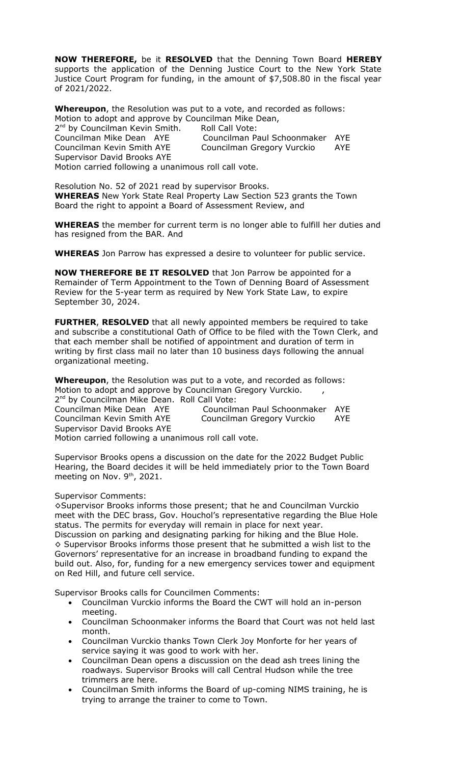**NOW THEREFORE,** be it **RESOLVED** that the Denning Town Board **HEREBY** supports the application of the Denning Justice Court to the New York State Justice Court Program for funding, in the amount of \$7,508.80 in the fiscal year of 2021/2022.

**Whereupon**, the Resolution was put to a vote, and recorded as follows: Motion to adopt and approve by Councilman Mike Dean,

2<sup>nd</sup> by Councilman Kevin Smith. Roll Call Vote: Supervisor David Brooks AYE Motion carried following a unanimous roll call vote.

Councilman Mike Dean AYE Councilman Paul Schoonmaker AYE Councilman Kevin Smith AYE Councilman Gregory Vurckio AYE

Resolution No. 52 of 2021 read by supervisor Brooks. **WHEREAS** New York State Real Property Law Section 523 grants the Town Board the right to appoint a Board of Assessment Review, and

**WHEREAS** the member for current term is no longer able to fulfill her duties and has resigned from the BAR. And

**WHEREAS** Jon Parrow has expressed a desire to volunteer for public service.

**NOW THEREFORE BE IT RESOLVED** that Jon Parrow be appointed for a Remainder of Term Appointment to the Town of Denning Board of Assessment Review for the 5-year term as required by New York State Law, to expire September 30, 2024.

**FURTHER**, **RESOLVED** that all newly appointed members be required to take and subscribe a constitutional Oath of Office to be filed with the Town Clerk, and that each member shall be notified of appointment and duration of term in writing by first class mail no later than 10 business days following the annual organizational meeting.

**Whereupon**, the Resolution was put to a vote, and recorded as follows: Motion to adopt and approve by Councilman Gregory Vurckio. 2<sup>nd</sup> by Councilman Mike Dean. Roll Call Vote: Councilman Mike Dean AYE Councilman Paul Schoonmaker AYE Councilman Kevin Smith AYE Councilman Gregory Vurckio AYE Supervisor David Brooks AYE Motion carried following a unanimous roll call vote.

Supervisor Brooks opens a discussion on the date for the 2022 Budget Public Hearing, the Board decides it will be held immediately prior to the Town Board meeting on Nov. 9<sup>th</sup>, 2021.

## Supervisor Comments:

◊Supervisor Brooks informs those present; that he and Councilman Vurckio meet with the DEC brass, Gov. Houchol's representative regarding the Blue Hole status. The permits for everyday will remain in place for next year. Discussion on parking and designating parking for hiking and the Blue Hole.  $\diamond$  Supervisor Brooks informs those present that he submitted a wish list to the Governors' representative for an increase in broadband funding to expand the build out. Also, for, funding for a new emergency services tower and equipment on Red Hill, and future cell service.

Supervisor Brooks calls for Councilmen Comments:

- Councilman Vurckio informs the Board the CWT will hold an in-person meeting.
- Councilman Schoonmaker informs the Board that Court was not held last month.
- Councilman Vurckio thanks Town Clerk Joy Monforte for her years of service saying it was good to work with her.
- Councilman Dean opens a discussion on the dead ash trees lining the roadways. Supervisor Brooks will call Central Hudson while the tree trimmers are here.
- Councilman Smith informs the Board of up-coming NIMS training, he is trying to arrange the trainer to come to Town.